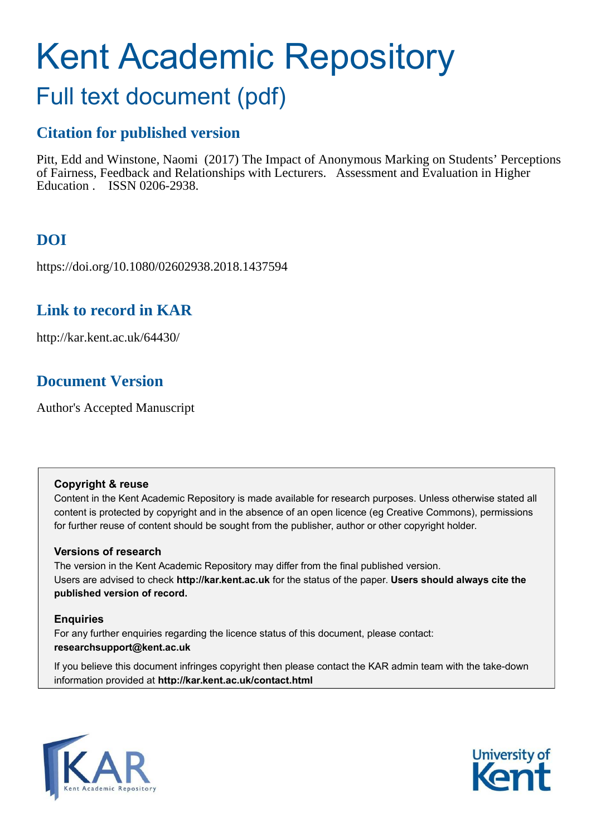# Kent Academic Repository

## Full text document (pdf)

### **Citation for published version**

Pitt, Edd and Winstone, Naomi (2017) The Impact of Anonymous Marking on Students' Perceptions of Fairness, Feedback and Relationships with Lecturers. Assessment and Evaluation in Higher Education . ISSN 0206-2938.

## **DOI**

https://doi.org/10.1080/02602938.2018.1437594

## **Link to record in KAR**

http://kar.kent.ac.uk/64430/

## **Document Version**

Author's Accepted Manuscript

#### **Copyright & reuse**

Content in the Kent Academic Repository is made available for research purposes. Unless otherwise stated all content is protected by copyright and in the absence of an open licence (eg Creative Commons), permissions for further reuse of content should be sought from the publisher, author or other copyright holder.

#### **Versions of research**

The version in the Kent Academic Repository may differ from the final published version. Users are advised to check **http://kar.kent.ac.uk** for the status of the paper. **Users should always cite the published version of record.**

#### **Enquiries**

For any further enquiries regarding the licence status of this document, please contact: **researchsupport@kent.ac.uk**

If you believe this document infringes copyright then please contact the KAR admin team with the take-down information provided at **http://kar.kent.ac.uk/contact.html**



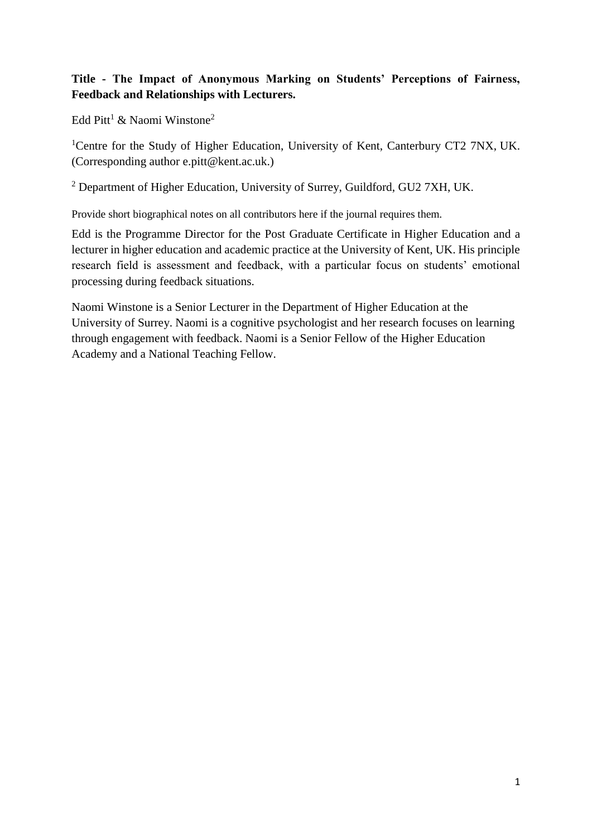#### **Title - The Impact of Anonymous Marking on Students' Perceptions of Fairness, Feedback and Relationships with Lecturers.**

Edd Pitt<sup>1</sup> & Naomi Winstone<sup>2</sup>

<sup>1</sup>Centre for the Study of Higher Education, University of Kent, Canterbury CT2 7NX, UK. (Corresponding author e.pitt@kent.ac.uk.)

<sup>2</sup> Department of Higher Education, University of Surrey, Guildford, GU2 7XH, UK.

Provide short biographical notes on all contributors here if the journal requires them.

Edd is the Programme Director for the Post Graduate Certificate in Higher Education and a lecturer in higher education and academic practice at the University of Kent, UK. His principle research field is assessment and feedback, with a particular focus on students' emotional processing during feedback situations.

Naomi Winstone is a Senior Lecturer in the Department of Higher Education at the University of Surrey. Naomi is a cognitive psychologist and her research focuses on learning through engagement with feedback. Naomi is a Senior Fellow of the Higher Education Academy and a National Teaching Fellow.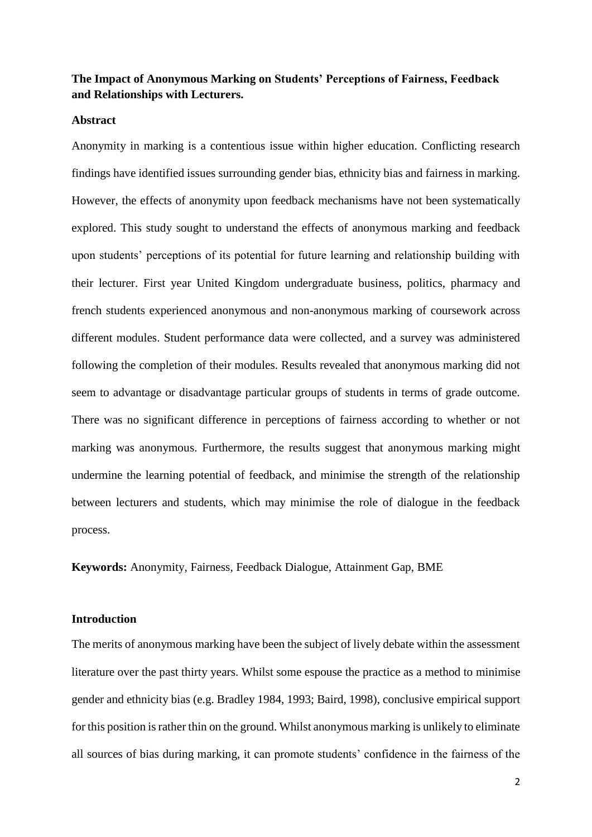#### **The Impact of Anonymous Marking on Students' Perceptions of Fairness, Feedback and Relationships with Lecturers.**

#### **Abstract**

Anonymity in marking is a contentious issue within higher education. Conflicting research findings have identified issues surrounding gender bias, ethnicity bias and fairness in marking. However, the effects of anonymity upon feedback mechanisms have not been systematically explored. This study sought to understand the effects of anonymous marking and feedback upon students' perceptions of its potential for future learning and relationship building with their lecturer. First year United Kingdom undergraduate business, politics, pharmacy and french students experienced anonymous and non-anonymous marking of coursework across different modules. Student performance data were collected, and a survey was administered following the completion of their modules. Results revealed that anonymous marking did not seem to advantage or disadvantage particular groups of students in terms of grade outcome. There was no significant difference in perceptions of fairness according to whether or not marking was anonymous. Furthermore, the results suggest that anonymous marking might undermine the learning potential of feedback, and minimise the strength of the relationship between lecturers and students, which may minimise the role of dialogue in the feedback process.

**Keywords:** Anonymity, Fairness, Feedback Dialogue, Attainment Gap, BME

#### **Introduction**

The merits of anonymous marking have been the subject of lively debate within the assessment literature over the past thirty years. Whilst some espouse the practice as a method to minimise gender and ethnicity bias (e.g. Bradley 1984, 1993; Baird, 1998), conclusive empirical support for this position is rather thin on the ground. Whilst anonymous marking is unlikely to eliminate all sources of bias during marking, it can promote students' confidence in the fairness of the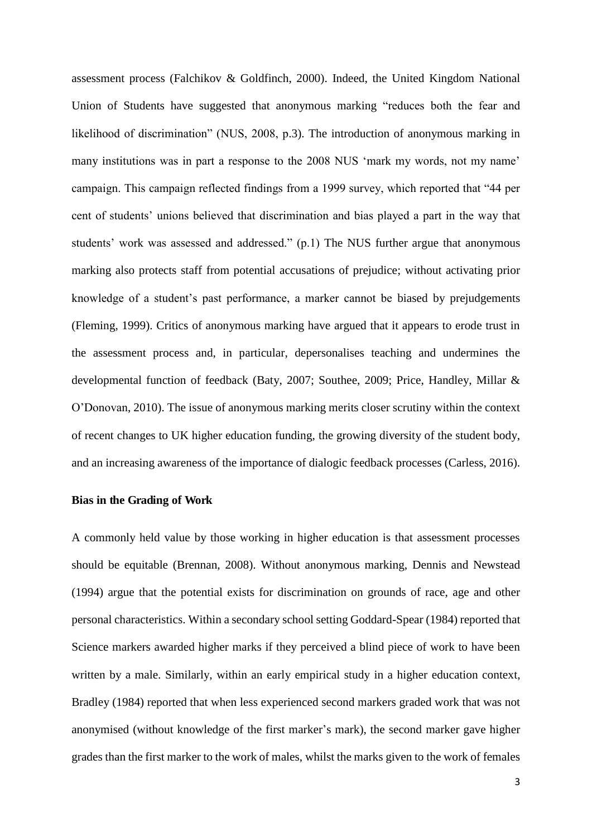assessment process (Falchikov & Goldfinch, 2000). Indeed, the United Kingdom National Union of Students have suggested that anonymous marking "reduces both the fear and likelihood of discrimination" (NUS, 2008, p.3). The introduction of anonymous marking in many institutions was in part a response to the 2008 NUS 'mark my words, not my name' campaign. This campaign reflected findings from a 1999 survey, which reported that "44 per cent of students' unions believed that discrimination and bias played a part in the way that students' work was assessed and addressed." (p.1) The NUS further argue that anonymous marking also protects staff from potential accusations of prejudice; without activating prior knowledge of a student's past performance, a marker cannot be biased by prejudgements (Fleming, 1999). Critics of anonymous marking have argued that it appears to erode trust in the assessment process and, in particular, depersonalises teaching and undermines the developmental function of feedback (Baty, 2007; Southee, 2009; Price, Handley, Millar & O'Donovan, 2010). The issue of anonymous marking merits closer scrutiny within the context of recent changes to UK higher education funding, the growing diversity of the student body, and an increasing awareness of the importance of dialogic feedback processes (Carless, 2016).

#### **Bias in the Grading of Work**

A commonly held value by those working in higher education is that assessment processes should be equitable (Brennan, 2008). Without anonymous marking, Dennis and Newstead (1994) argue that the potential exists for discrimination on grounds of race, age and other personal characteristics. Within a secondary school setting Goddard-Spear (1984) reported that Science markers awarded higher marks if they perceived a blind piece of work to have been written by a male. Similarly, within an early empirical study in a higher education context, Bradley (1984) reported that when less experienced second markers graded work that was not anonymised (without knowledge of the first marker's mark), the second marker gave higher grades than the first marker to the work of males, whilst the marks given to the work of females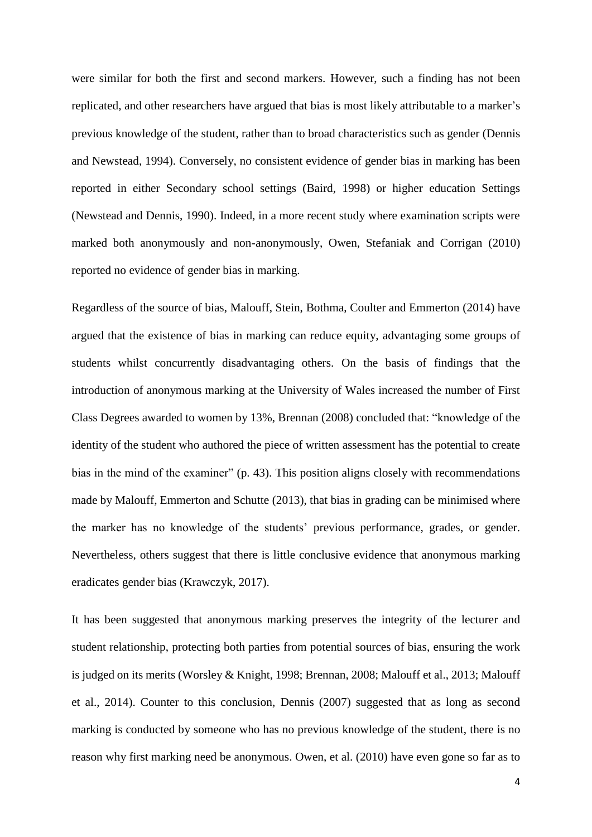were similar for both the first and second markers. However, such a finding has not been replicated, and other researchers have argued that bias is most likely attributable to a marker's previous knowledge of the student, rather than to broad characteristics such as gender (Dennis and Newstead, 1994). Conversely, no consistent evidence of gender bias in marking has been reported in either Secondary school settings (Baird, 1998) or higher education Settings (Newstead and Dennis, 1990). Indeed, in a more recent study where examination scripts were marked both anonymously and non-anonymously, Owen, Stefaniak and Corrigan (2010) reported no evidence of gender bias in marking.

Regardless of the source of bias, Malouff, Stein, Bothma, Coulter and Emmerton (2014) have argued that the existence of bias in marking can reduce equity, advantaging some groups of students whilst concurrently disadvantaging others. On the basis of findings that the introduction of anonymous marking at the University of Wales increased the number of First Class Degrees awarded to women by 13%, Brennan (2008) concluded that: "knowledge of the identity of the student who authored the piece of written assessment has the potential to create bias in the mind of the examiner" (p. 43). This position aligns closely with recommendations made by Malouff, Emmerton and Schutte (2013), that bias in grading can be minimised where the marker has no knowledge of the students' previous performance, grades, or gender. Nevertheless, others suggest that there is little conclusive evidence that anonymous marking eradicates gender bias (Krawczyk, 2017).

It has been suggested that anonymous marking preserves the integrity of the lecturer and student relationship, protecting both parties from potential sources of bias, ensuring the work is judged on its merits (Worsley & Knight, 1998; Brennan, 2008; Malouff et al., 2013; Malouff et al., 2014). Counter to this conclusion, Dennis (2007) suggested that as long as second marking is conducted by someone who has no previous knowledge of the student, there is no reason why first marking need be anonymous. Owen, et al. (2010) have even gone so far as to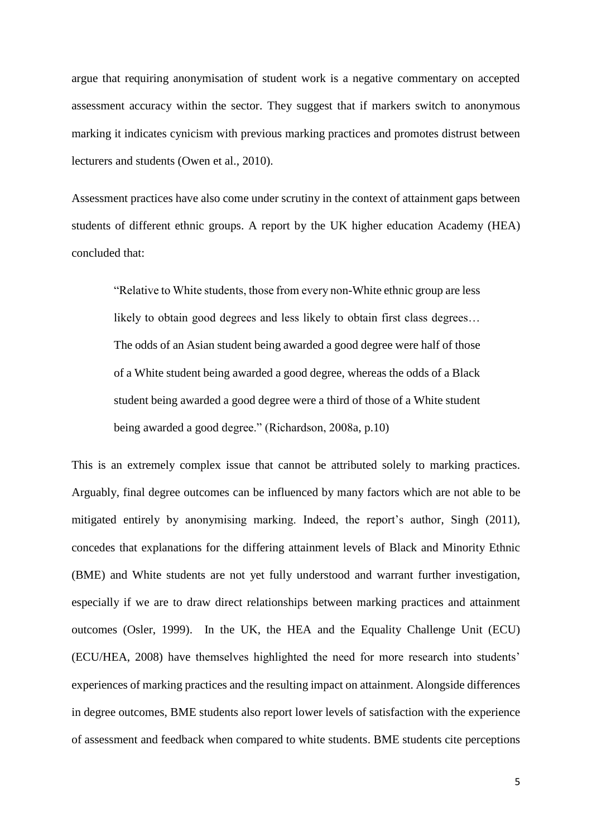argue that requiring anonymisation of student work is a negative commentary on accepted assessment accuracy within the sector. They suggest that if markers switch to anonymous marking it indicates cynicism with previous marking practices and promotes distrust between lecturers and students (Owen et al., 2010).

Assessment practices have also come under scrutiny in the context of attainment gaps between students of different ethnic groups. A report by the UK higher education Academy (HEA) concluded that:

"Relative to White students, those from every non-White ethnic group are less likely to obtain good degrees and less likely to obtain first class degrees… The odds of an Asian student being awarded a good degree were half of those of a White student being awarded a good degree, whereas the odds of a Black student being awarded a good degree were a third of those of a White student being awarded a good degree." (Richardson, 2008a, p.10)

This is an extremely complex issue that cannot be attributed solely to marking practices. Arguably, final degree outcomes can be influenced by many factors which are not able to be mitigated entirely by anonymising marking. Indeed, the report's author, Singh (2011), concedes that explanations for the differing attainment levels of Black and Minority Ethnic (BME) and White students are not yet fully understood and warrant further investigation, especially if we are to draw direct relationships between marking practices and attainment outcomes (Osler, 1999). In the UK, the HEA and the Equality Challenge Unit (ECU) (ECU/HEA, 2008) have themselves highlighted the need for more research into students' experiences of marking practices and the resulting impact on attainment. Alongside differences in degree outcomes, BME students also report lower levels of satisfaction with the experience of assessment and feedback when compared to white students. BME students cite perceptions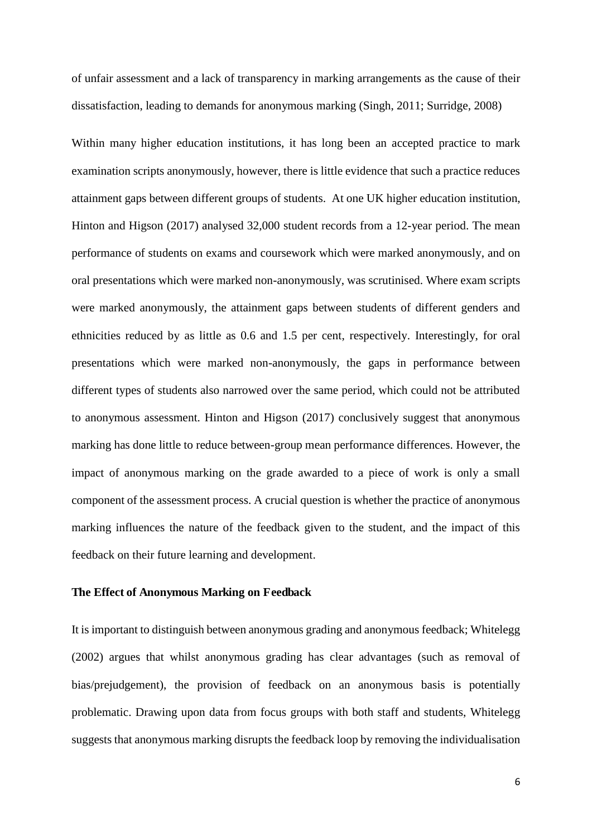of unfair assessment and a lack of transparency in marking arrangements as the cause of their dissatisfaction, leading to demands for anonymous marking (Singh, 2011; Surridge, 2008)

Within many higher education institutions, it has long been an accepted practice to mark examination scripts anonymously, however, there is little evidence that such a practice reduces attainment gaps between different groups of students. At one UK higher education institution, Hinton and Higson (2017) analysed 32,000 student records from a 12-year period. The mean performance of students on exams and coursework which were marked anonymously, and on oral presentations which were marked non-anonymously, was scrutinised. Where exam scripts were marked anonymously, the attainment gaps between students of different genders and ethnicities reduced by as little as 0.6 and 1.5 per cent, respectively. Interestingly, for oral presentations which were marked non-anonymously, the gaps in performance between different types of students also narrowed over the same period, which could not be attributed to anonymous assessment. Hinton and Higson (2017) conclusively suggest that anonymous marking has done little to reduce between-group mean performance differences. However, the impact of anonymous marking on the grade awarded to a piece of work is only a small component of the assessment process. A crucial question is whether the practice of anonymous marking influences the nature of the feedback given to the student, and the impact of this feedback on their future learning and development.

#### **The Effect of Anonymous Marking on Feedback**

It is important to distinguish between anonymous grading and anonymous feedback; Whitelegg (2002) argues that whilst anonymous grading has clear advantages (such as removal of bias/prejudgement), the provision of feedback on an anonymous basis is potentially problematic. Drawing upon data from focus groups with both staff and students, Whitelegg suggests that anonymous marking disrupts the feedback loop by removing the individualisation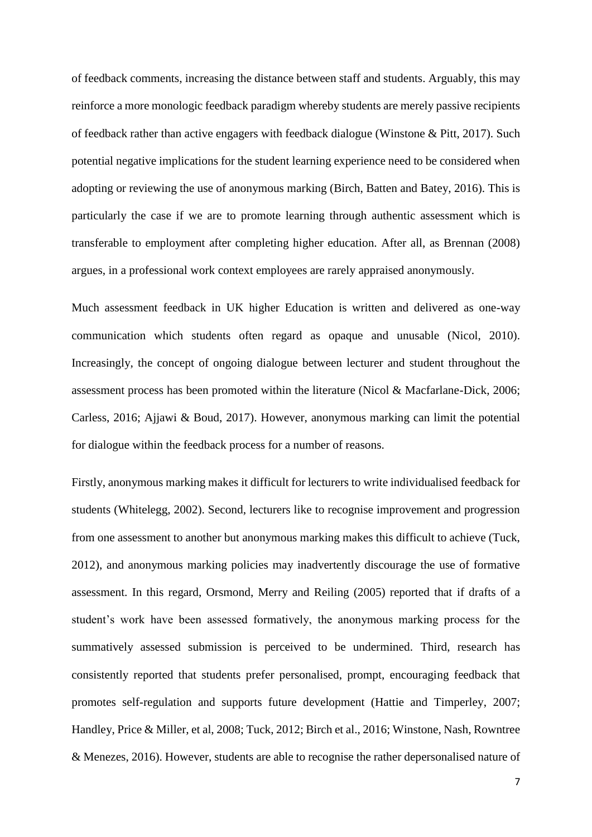of feedback comments, increasing the distance between staff and students. Arguably, this may reinforce a more monologic feedback paradigm whereby students are merely passive recipients of feedback rather than active engagers with feedback dialogue (Winstone & Pitt, 2017). Such potential negative implications for the student learning experience need to be considered when adopting or reviewing the use of anonymous marking (Birch, Batten and Batey, 2016). This is particularly the case if we are to promote learning through authentic assessment which is transferable to employment after completing higher education. After all, as Brennan (2008) argues, in a professional work context employees are rarely appraised anonymously.

Much assessment feedback in UK higher Education is written and delivered as one-way communication which students often regard as opaque and unusable (Nicol, 2010). Increasingly, the concept of ongoing dialogue between lecturer and student throughout the assessment process has been promoted within the literature (Nicol & Macfarlane-Dick, 2006; Carless, 2016; Ajjawi & Boud, 2017). However, anonymous marking can limit the potential for dialogue within the feedback process for a number of reasons.

Firstly, anonymous marking makes it difficult for lecturers to write individualised feedback for students (Whitelegg, 2002). Second, lecturers like to recognise improvement and progression from one assessment to another but anonymous marking makes this difficult to achieve (Tuck, 2012), and anonymous marking policies may inadvertently discourage the use of formative assessment. In this regard, Orsmond, Merry and Reiling (2005) reported that if drafts of a student's work have been assessed formatively, the anonymous marking process for the summatively assessed submission is perceived to be undermined. Third, research has consistently reported that students prefer personalised, prompt, encouraging feedback that promotes self-regulation and supports future development (Hattie and Timperley, 2007; Handley, Price & Miller, et al, 2008; Tuck, 2012; Birch et al., 2016; Winstone, Nash, Rowntree & Menezes, 2016). However, students are able to recognise the rather depersonalised nature of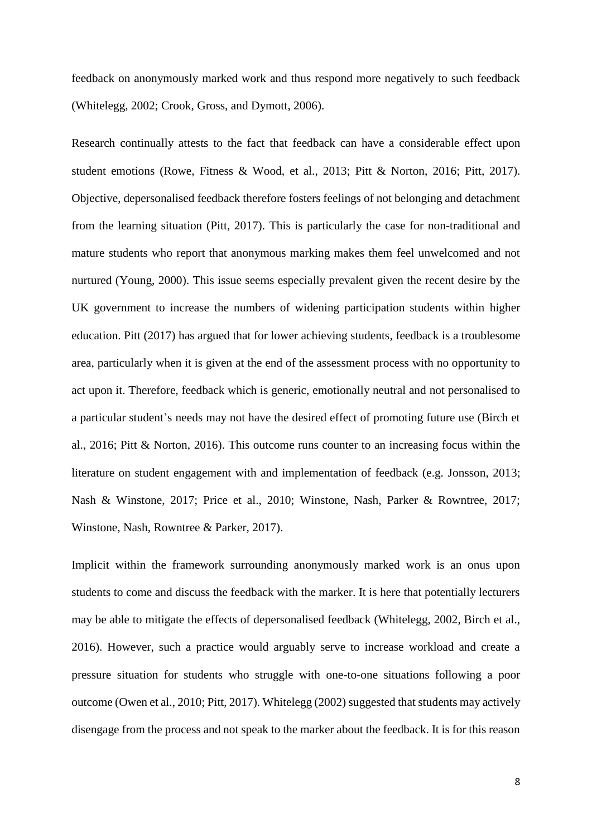feedback on anonymously marked work and thus respond more negatively to such feedback (Whitelegg, 2002; Crook, Gross, and Dymott, 2006).

Research continually attests to the fact that feedback can have a considerable effect upon student emotions (Rowe, Fitness & Wood, et al., 2013; Pitt & Norton, 2016; Pitt, 2017). Objective, depersonalised feedback therefore fosters feelings of not belonging and detachment from the learning situation (Pitt, 2017). This is particularly the case for non-traditional and mature students who report that anonymous marking makes them feel unwelcomed and not nurtured (Young, 2000). This issue seems especially prevalent given the recent desire by the UK government to increase the numbers of widening participation students within higher education. Pitt (2017) has argued that for lower achieving students, feedback is a troublesome area, particularly when it is given at the end of the assessment process with no opportunity to act upon it. Therefore, feedback which is generic, emotionally neutral and not personalised to a particular student's needs may not have the desired effect of promoting future use (Birch et al., 2016; Pitt & Norton, 2016). This outcome runs counter to an increasing focus within the literature on student engagement with and implementation of feedback (e.g. Jonsson, 2013; Nash & Winstone, 2017; Price et al., 2010; Winstone, Nash, Parker & Rowntree, 2017; Winstone, Nash, Rowntree & Parker, 2017).

Implicit within the framework surrounding anonymously marked work is an onus upon students to come and discuss the feedback with the marker. It is here that potentially lecturers may be able to mitigate the effects of depersonalised feedback (Whitelegg, 2002, Birch et al., 2016). However, such a practice would arguably serve to increase workload and create a pressure situation for students who struggle with one-to-one situations following a poor outcome (Owen et al., 2010; Pitt, 2017). Whitelegg (2002) suggested that students may actively disengage from the process and not speak to the marker about the feedback. It is for this reason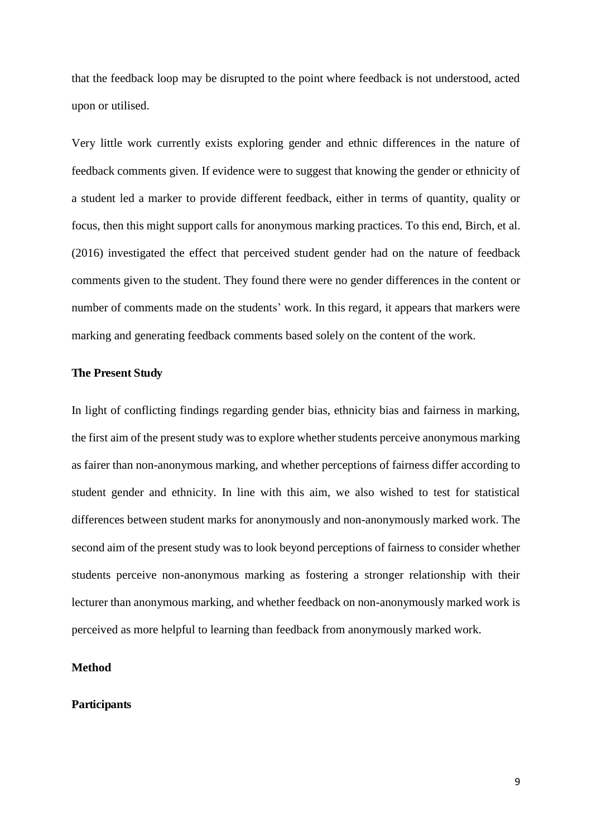that the feedback loop may be disrupted to the point where feedback is not understood, acted upon or utilised.

Very little work currently exists exploring gender and ethnic differences in the nature of feedback comments given. If evidence were to suggest that knowing the gender or ethnicity of a student led a marker to provide different feedback, either in terms of quantity, quality or focus, then this might support calls for anonymous marking practices. To this end, Birch, et al. (2016) investigated the effect that perceived student gender had on the nature of feedback comments given to the student. They found there were no gender differences in the content or number of comments made on the students' work. In this regard, it appears that markers were marking and generating feedback comments based solely on the content of the work.

#### **The Present Study**

In light of conflicting findings regarding gender bias, ethnicity bias and fairness in marking, the first aim of the present study was to explore whether students perceive anonymous marking as fairer than non-anonymous marking, and whether perceptions of fairness differ according to student gender and ethnicity. In line with this aim, we also wished to test for statistical differences between student marks for anonymously and non-anonymously marked work. The second aim of the present study was to look beyond perceptions of fairness to consider whether students perceive non-anonymous marking as fostering a stronger relationship with their lecturer than anonymous marking, and whether feedback on non-anonymously marked work is perceived as more helpful to learning than feedback from anonymously marked work.

#### **Method**

#### **Participants**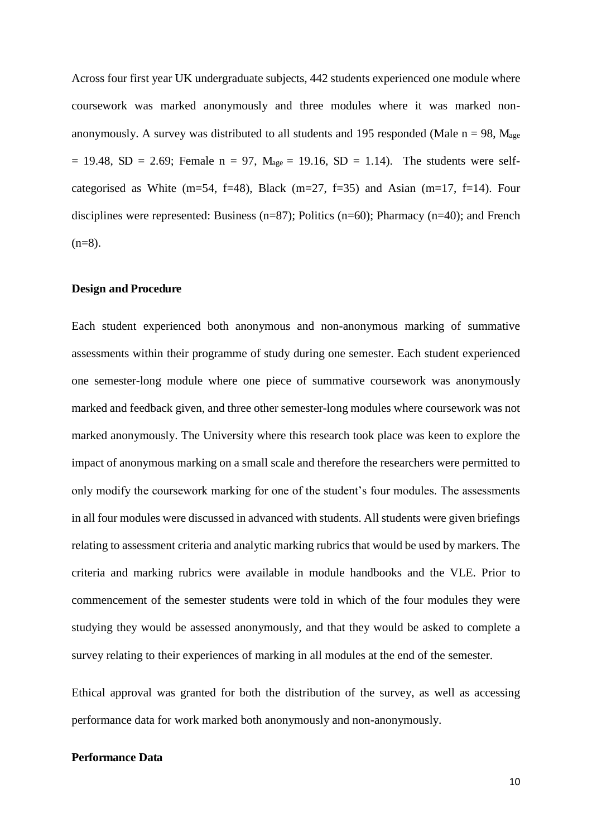Across four first year UK undergraduate subjects, 442 students experienced one module where coursework was marked anonymously and three modules where it was marked nonanonymously. A survey was distributed to all students and 195 responded (Male  $n = 98$ , M<sub>age</sub>  $= 19.48$ , SD = 2.69; Female n = 97, M<sub>age</sub> = 19.16, SD = 1.14). The students were selfcategorised as White (m=54, f=48), Black (m=27, f=35) and Asian (m=17, f=14). Four disciplines were represented: Business (n=87); Politics (n=60); Pharmacy (n=40); and French  $(n=8)$ .

#### **Design and Procedure**

Each student experienced both anonymous and non-anonymous marking of summative assessments within their programme of study during one semester. Each student experienced one semester-long module where one piece of summative coursework was anonymously marked and feedback given, and three other semester-long modules where coursework was not marked anonymously. The University where this research took place was keen to explore the impact of anonymous marking on a small scale and therefore the researchers were permitted to only modify the coursework marking for one of the student's four modules. The assessments in all four modules were discussed in advanced with students. All students were given briefings relating to assessment criteria and analytic marking rubrics that would be used by markers. The criteria and marking rubrics were available in module handbooks and the VLE. Prior to commencement of the semester students were told in which of the four modules they were studying they would be assessed anonymously, and that they would be asked to complete a survey relating to their experiences of marking in all modules at the end of the semester.

Ethical approval was granted for both the distribution of the survey, as well as accessing performance data for work marked both anonymously and non-anonymously.

#### **Performance Data**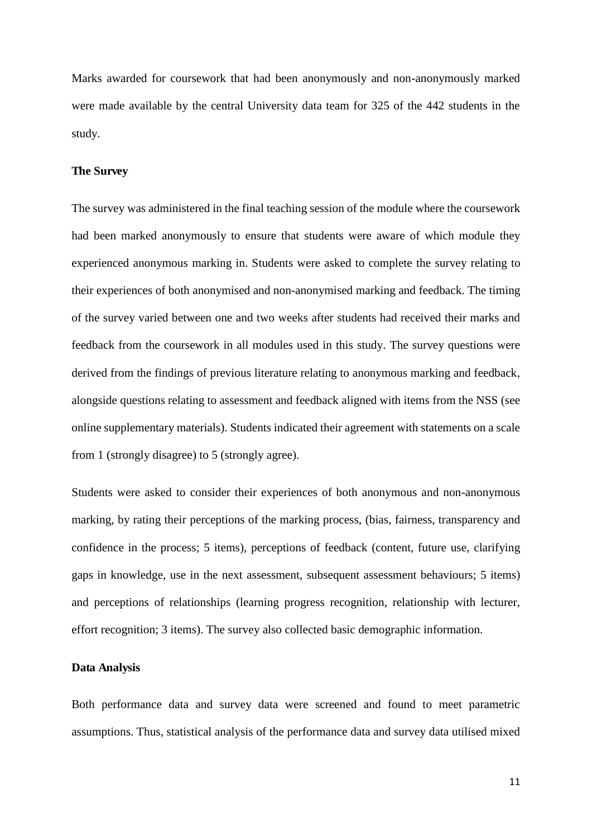Marks awarded for coursework that had been anonymously and non-anonymously marked were made available by the central University data team for 325 of the 442 students in the study.

#### **The Survey**

The survey was administered in the final teaching session of the module where the coursework had been marked anonymously to ensure that students were aware of which module they experienced anonymous marking in. Students were asked to complete the survey relating to their experiences of both anonymised and non-anonymised marking and feedback. The timing of the survey varied between one and two weeks after students had received their marks and feedback from the coursework in all modules used in this study. The survey questions were derived from the findings of previous literature relating to anonymous marking and feedback, alongside questions relating to assessment and feedback aligned with items from the NSS (see online supplementary materials). Students indicated their agreement with statements on a scale from 1 (strongly disagree) to 5 (strongly agree).

Students were asked to consider their experiences of both anonymous and non-anonymous marking, by rating their perceptions of the marking process, (bias, fairness, transparency and confidence in the process; 5 items), perceptions of feedback (content, future use, clarifying gaps in knowledge, use in the next assessment, subsequent assessment behaviours; 5 items) and perceptions of relationships (learning progress recognition, relationship with lecturer, effort recognition; 3 items). The survey also collected basic demographic information.

#### **Data Analysis**

Both performance data and survey data were screened and found to meet parametric assumptions. Thus, statistical analysis of the performance data and survey data utilised mixed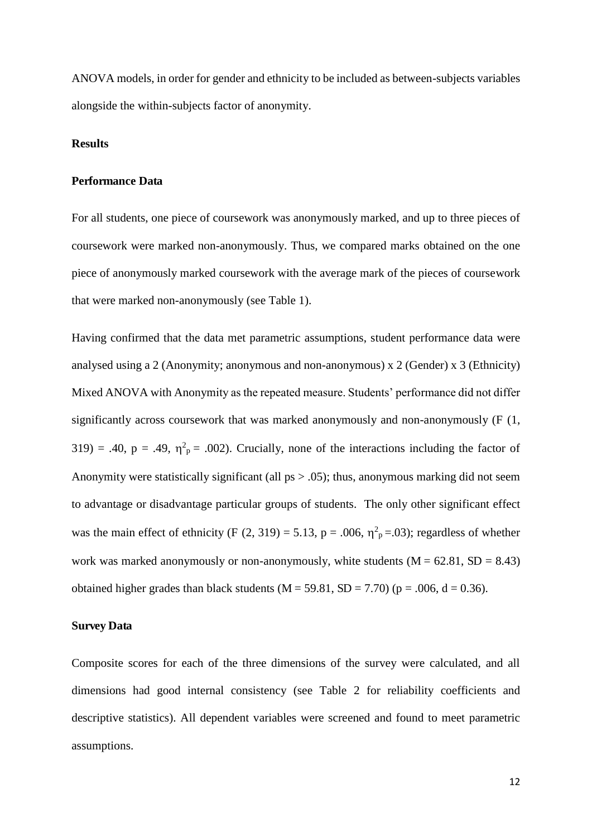ANOVA models, in order for gender and ethnicity to be included as between-subjects variables alongside the within-subjects factor of anonymity.

#### **Results**

#### **Performance Data**

For all students, one piece of coursework was anonymously marked, and up to three pieces of coursework were marked non-anonymously. Thus, we compared marks obtained on the one piece of anonymously marked coursework with the average mark of the pieces of coursework that were marked non-anonymously (see Table 1).

Having confirmed that the data met parametric assumptions, student performance data were analysed using a 2 (Anonymity; anonymous and non-anonymous) x 2 (Gender) x 3 (Ethnicity) Mixed ANOVA with Anonymity as the repeated measure. Students' performance did not differ significantly across coursework that was marked anonymously and non-anonymously (F (1, 319) = .40, p = .49,  $\eta^2$ <sub>p</sub> = .002). Crucially, none of the interactions including the factor of Anonymity were statistically significant (all  $ps > .05$ ); thus, anonymous marking did not seem to advantage or disadvantage particular groups of students. The only other significant effect was the main effect of ethnicity (F  $(2, 319) = 5.13$ , p = .006,  $\eta^2$ <sub>p</sub>=.03); regardless of whether work was marked anonymously or non-anonymously, white students  $(M = 62.81, SD = 8.43)$ obtained higher grades than black students  $(M = 59.81, SD = 7.70)$  ( $p = .006, d = 0.36$ ).

#### **Survey Data**

Composite scores for each of the three dimensions of the survey were calculated, and all dimensions had good internal consistency (see Table 2 for reliability coefficients and descriptive statistics). All dependent variables were screened and found to meet parametric assumptions.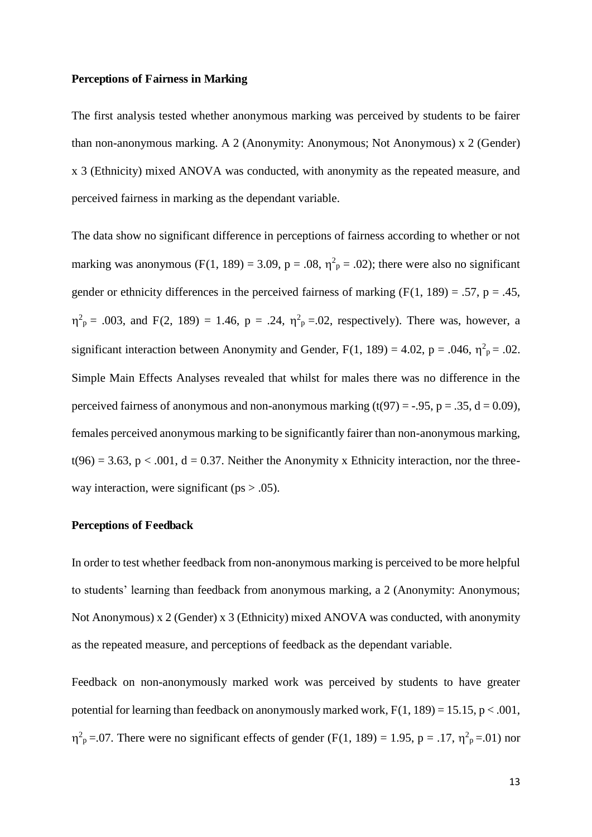#### **Perceptions of Fairness in Marking**

The first analysis tested whether anonymous marking was perceived by students to be fairer than non-anonymous marking. A 2 (Anonymity: Anonymous; Not Anonymous) x 2 (Gender) x 3 (Ethnicity) mixed ANOVA was conducted, with anonymity as the repeated measure, and perceived fairness in marking as the dependant variable.

The data show no significant difference in perceptions of fairness according to whether or not marking was anonymous (F(1, 189) = 3.09,  $p = .08$ ,  $\eta^2 p = .02$ ); there were also no significant gender or ethnicity differences in the perceived fairness of marking  $(F(1, 189) = .57, p = .45,$  $\eta_{\text{p}}^2 = .003$ , and F(2, 189) = 1.46, p = .24,  $\eta_{\text{p}}^2 = .02$ , respectively). There was, however, a significant interaction between Anonymity and Gender,  $F(1, 189) = 4.02$ ,  $p = .046$ ,  $\eta^2 p = .02$ . Simple Main Effects Analyses revealed that whilst for males there was no difference in the perceived fairness of anonymous and non-anonymous marking  $(t(97) = -.95, p = .35, d = 0.09)$ , females perceived anonymous marking to be significantly fairer than non-anonymous marking,  $t(96) = 3.63$ ,  $p < .001$ ,  $d = 0.37$ . Neither the Anonymity x Ethnicity interaction, nor the threeway interaction, were significant ( $ps > .05$ ).

#### **Perceptions of Feedback**

In order to test whether feedback from non-anonymous marking is perceived to be more helpful to students' learning than feedback from anonymous marking, a 2 (Anonymity: Anonymous; Not Anonymous) x 2 (Gender) x 3 (Ethnicity) mixed ANOVA was conducted, with anonymity as the repeated measure, and perceptions of feedback as the dependant variable.

Feedback on non-anonymously marked work was perceived by students to have greater potential for learning than feedback on anonymously marked work,  $F(1, 189) = 15.15$ ,  $p < .001$ ,  $\eta^2$ <sub>p</sub> = 0.07. There were no significant effects of gender (F(1, 189) = 1.95, p = .17,  $\eta^2$ <sub>p</sub> = 0.01) nor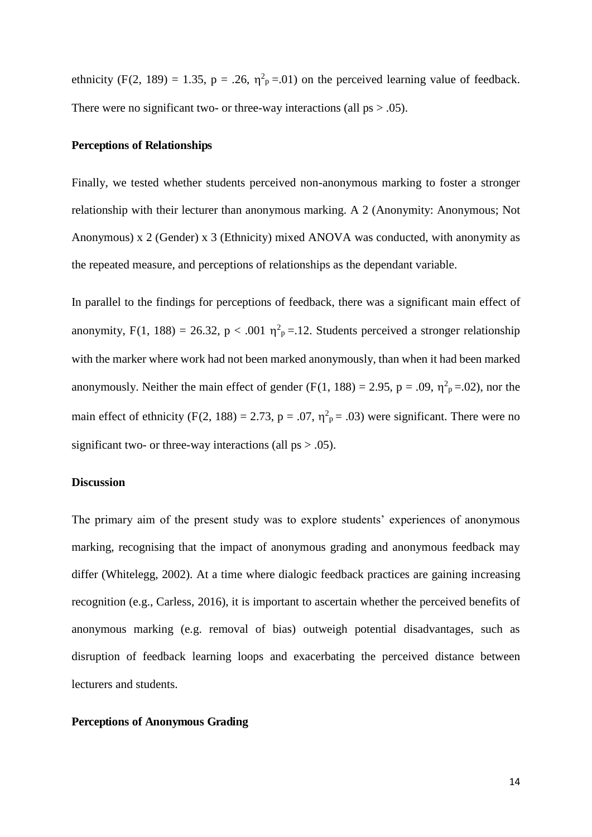ethnicity (F(2, 189) = 1.35, p = .26,  $\eta^2$ <sub>p</sub>=.01) on the perceived learning value of feedback. There were no significant two- or three-way interactions (all  $ps > .05$ ).

#### **Perceptions of Relationships**

Finally, we tested whether students perceived non-anonymous marking to foster a stronger relationship with their lecturer than anonymous marking. A 2 (Anonymity: Anonymous; Not Anonymous) x 2 (Gender) x 3 (Ethnicity) mixed ANOVA was conducted, with anonymity as the repeated measure, and perceptions of relationships as the dependant variable.

In parallel to the findings for perceptions of feedback, there was a significant main effect of anonymity, F(1, 188) = 26.32, p < .001  $\eta^2$ <sub>p</sub> = 12. Students perceived a stronger relationship with the marker where work had not been marked anonymously, than when it had been marked anonymously. Neither the main effect of gender (F(1, 188) = 2.95, p = .09,  $\eta^2$ <sub>p</sub>=.02), nor the main effect of ethnicity (F(2, 188) = 2.73, p = .07,  $\eta^2$ <sub>p</sub> = .03) were significant. There were no significant two- or three-way interactions (all  $ps > .05$ ).

#### **Discussion**

The primary aim of the present study was to explore students' experiences of anonymous marking, recognising that the impact of anonymous grading and anonymous feedback may differ (Whitelegg, 2002). At a time where dialogic feedback practices are gaining increasing recognition (e.g., Carless, 2016), it is important to ascertain whether the perceived benefits of anonymous marking (e.g. removal of bias) outweigh potential disadvantages, such as disruption of feedback learning loops and exacerbating the perceived distance between lecturers and students.

#### **Perceptions of Anonymous Grading**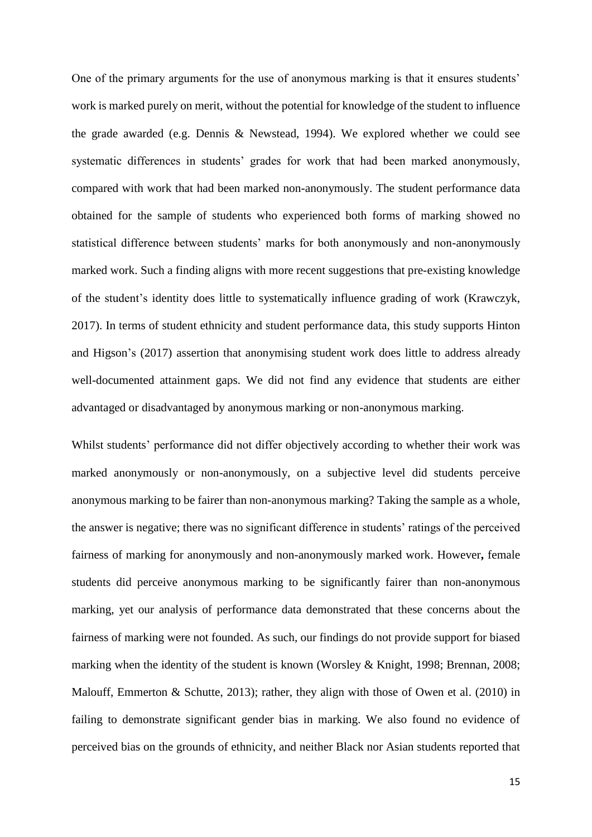One of the primary arguments for the use of anonymous marking is that it ensures students' work is marked purely on merit, without the potential for knowledge of the student to influence the grade awarded (e.g. Dennis & Newstead, 1994). We explored whether we could see systematic differences in students' grades for work that had been marked anonymously, compared with work that had been marked non-anonymously. The student performance data obtained for the sample of students who experienced both forms of marking showed no statistical difference between students' marks for both anonymously and non-anonymously marked work. Such a finding aligns with more recent suggestions that pre-existing knowledge of the student's identity does little to systematically influence grading of work (Krawczyk, 2017). In terms of student ethnicity and student performance data, this study supports Hinton and Higson's (2017) assertion that anonymising student work does little to address already well-documented attainment gaps. We did not find any evidence that students are either advantaged or disadvantaged by anonymous marking or non-anonymous marking.

Whilst students' performance did not differ objectively according to whether their work was marked anonymously or non-anonymously, on a subjective level did students perceive anonymous marking to be fairer than non-anonymous marking? Taking the sample as a whole, the answer is negative; there was no significant difference in students' ratings of the perceived fairness of marking for anonymously and non-anonymously marked work. However**,** female students did perceive anonymous marking to be significantly fairer than non-anonymous marking, yet our analysis of performance data demonstrated that these concerns about the fairness of marking were not founded. As such, our findings do not provide support for biased marking when the identity of the student is known (Worsley & Knight, 1998; Brennan, 2008; Malouff, Emmerton & Schutte, 2013); rather, they align with those of Owen et al. (2010) in failing to demonstrate significant gender bias in marking. We also found no evidence of perceived bias on the grounds of ethnicity, and neither Black nor Asian students reported that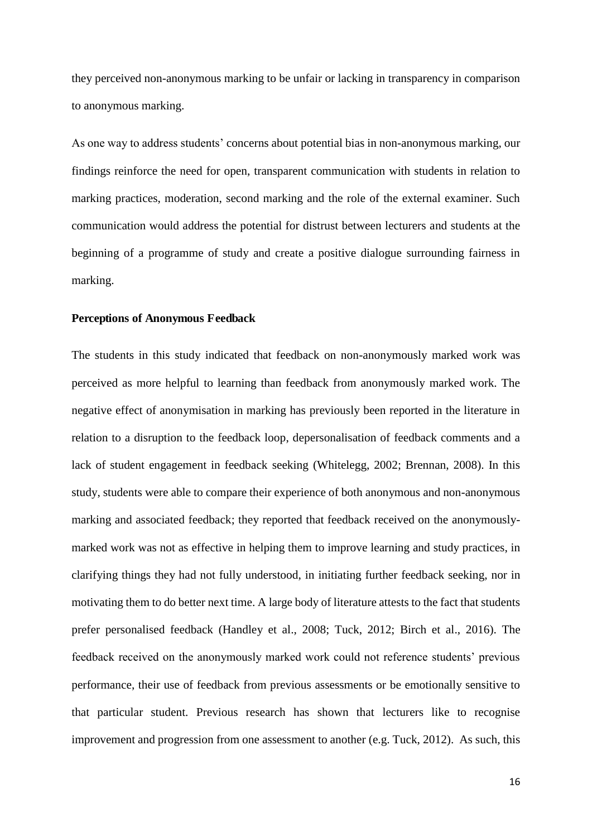they perceived non-anonymous marking to be unfair or lacking in transparency in comparison to anonymous marking.

As one way to address students' concerns about potential bias in non-anonymous marking, our findings reinforce the need for open, transparent communication with students in relation to marking practices, moderation, second marking and the role of the external examiner. Such communication would address the potential for distrust between lecturers and students at the beginning of a programme of study and create a positive dialogue surrounding fairness in marking.

#### **Perceptions of Anonymous Feedback**

The students in this study indicated that feedback on non-anonymously marked work was perceived as more helpful to learning than feedback from anonymously marked work. The negative effect of anonymisation in marking has previously been reported in the literature in relation to a disruption to the feedback loop, depersonalisation of feedback comments and a lack of student engagement in feedback seeking (Whitelegg, 2002; Brennan, 2008). In this study, students were able to compare their experience of both anonymous and non-anonymous marking and associated feedback; they reported that feedback received on the anonymouslymarked work was not as effective in helping them to improve learning and study practices, in clarifying things they had not fully understood, in initiating further feedback seeking, nor in motivating them to do better next time. A large body of literature attests to the fact that students prefer personalised feedback (Handley et al., 2008; Tuck, 2012; Birch et al., 2016). The feedback received on the anonymously marked work could not reference students' previous performance, their use of feedback from previous assessments or be emotionally sensitive to that particular student. Previous research has shown that lecturers like to recognise improvement and progression from one assessment to another (e.g. Tuck, 2012). As such, this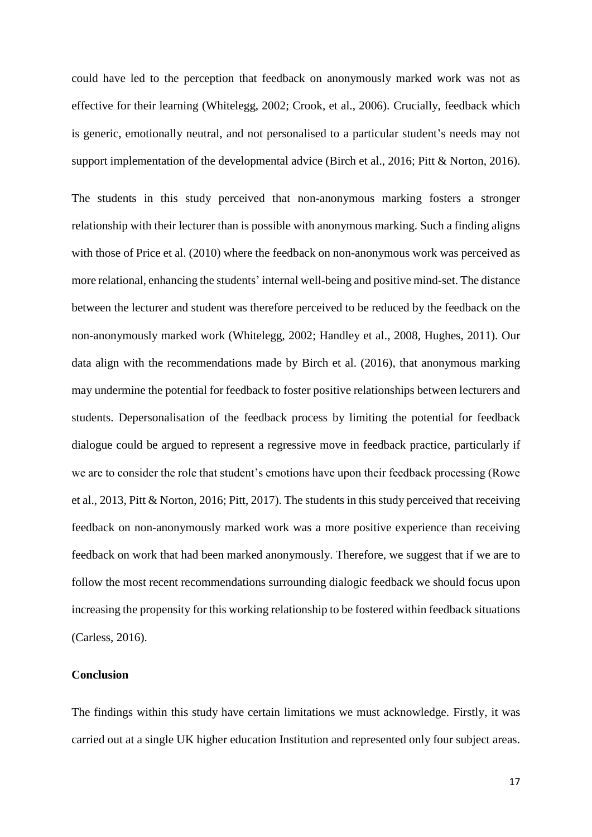could have led to the perception that feedback on anonymously marked work was not as effective for their learning (Whitelegg, 2002; Crook, et al., 2006). Crucially, feedback which is generic, emotionally neutral, and not personalised to a particular student's needs may not support implementation of the developmental advice (Birch et al., 2016; Pitt & Norton, 2016).

The students in this study perceived that non-anonymous marking fosters a stronger relationship with their lecturer than is possible with anonymous marking. Such a finding aligns with those of Price et al. (2010) where the feedback on non-anonymous work was perceived as more relational, enhancing the students' internal well-being and positive mind-set. The distance between the lecturer and student was therefore perceived to be reduced by the feedback on the non-anonymously marked work (Whitelegg, 2002; Handley et al., 2008, Hughes, 2011). Our data align with the recommendations made by Birch et al. (2016), that anonymous marking may undermine the potential for feedback to foster positive relationships between lecturers and students. Depersonalisation of the feedback process by limiting the potential for feedback dialogue could be argued to represent a regressive move in feedback practice, particularly if we are to consider the role that student's emotions have upon their feedback processing (Rowe et al., 2013, Pitt & Norton, 2016; Pitt, 2017). The students in this study perceived that receiving feedback on non-anonymously marked work was a more positive experience than receiving feedback on work that had been marked anonymously. Therefore, we suggest that if we are to follow the most recent recommendations surrounding dialogic feedback we should focus upon increasing the propensity for this working relationship to be fostered within feedback situations (Carless, 2016).

#### **Conclusion**

The findings within this study have certain limitations we must acknowledge. Firstly, it was carried out at a single UK higher education Institution and represented only four subject areas.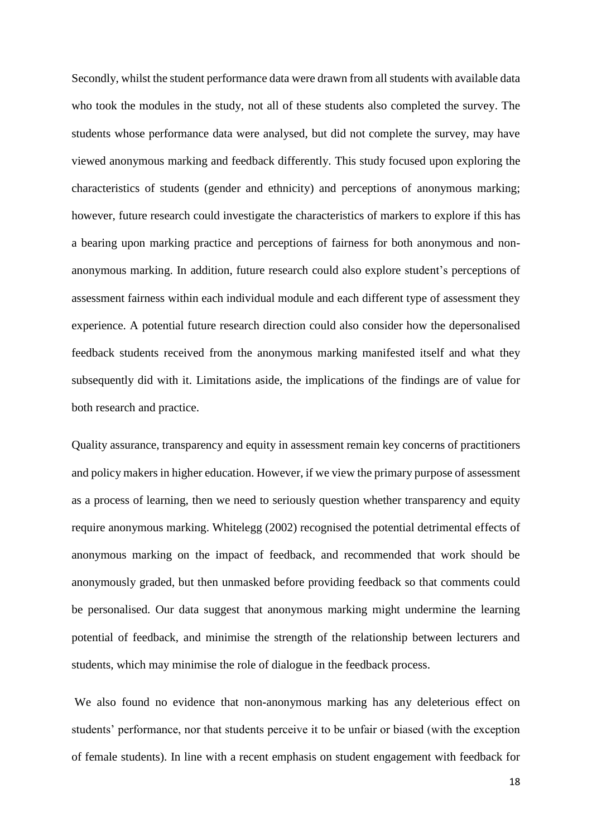Secondly, whilst the student performance data were drawn from all students with available data who took the modules in the study, not all of these students also completed the survey. The students whose performance data were analysed, but did not complete the survey, may have viewed anonymous marking and feedback differently. This study focused upon exploring the characteristics of students (gender and ethnicity) and perceptions of anonymous marking; however, future research could investigate the characteristics of markers to explore if this has a bearing upon marking practice and perceptions of fairness for both anonymous and nonanonymous marking. In addition, future research could also explore student's perceptions of assessment fairness within each individual module and each different type of assessment they experience. A potential future research direction could also consider how the depersonalised feedback students received from the anonymous marking manifested itself and what they subsequently did with it. Limitations aside, the implications of the findings are of value for both research and practice.

Quality assurance, transparency and equity in assessment remain key concerns of practitioners and policy makers in higher education. However, if we view the primary purpose of assessment as a process of learning, then we need to seriously question whether transparency and equity require anonymous marking. Whitelegg (2002) recognised the potential detrimental effects of anonymous marking on the impact of feedback, and recommended that work should be anonymously graded, but then unmasked before providing feedback so that comments could be personalised. Our data suggest that anonymous marking might undermine the learning potential of feedback, and minimise the strength of the relationship between lecturers and students, which may minimise the role of dialogue in the feedback process.

 We also found no evidence that non-anonymous marking has any deleterious effect on students' performance, nor that students perceive it to be unfair or biased (with the exception of female students). In line with a recent emphasis on student engagement with feedback for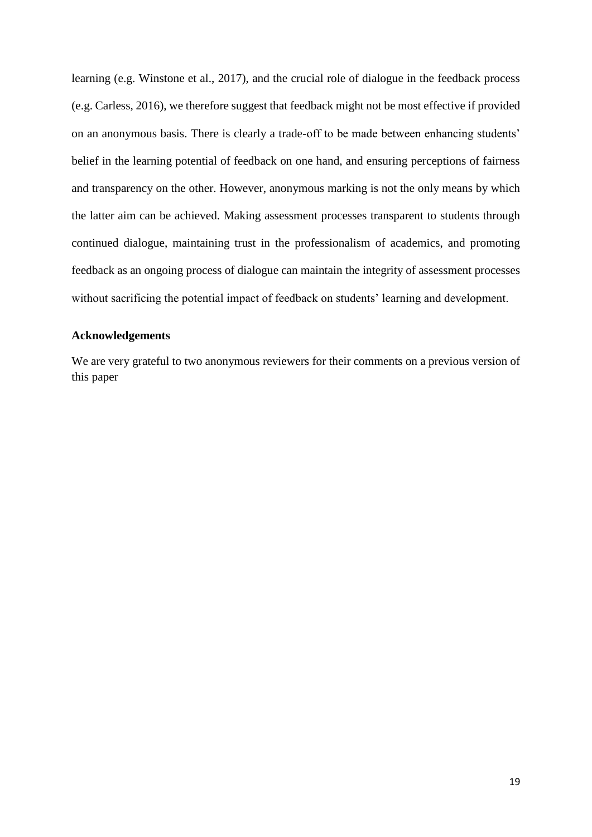learning (e.g. Winstone et al., 2017), and the crucial role of dialogue in the feedback process (e.g. Carless, 2016), we therefore suggest that feedback might not be most effective if provided on an anonymous basis. There is clearly a trade-off to be made between enhancing students' belief in the learning potential of feedback on one hand, and ensuring perceptions of fairness and transparency on the other. However, anonymous marking is not the only means by which the latter aim can be achieved. Making assessment processes transparent to students through continued dialogue, maintaining trust in the professionalism of academics, and promoting feedback as an ongoing process of dialogue can maintain the integrity of assessment processes without sacrificing the potential impact of feedback on students' learning and development.

#### **Acknowledgements**

We are very grateful to two anonymous reviewers for their comments on a previous version of this paper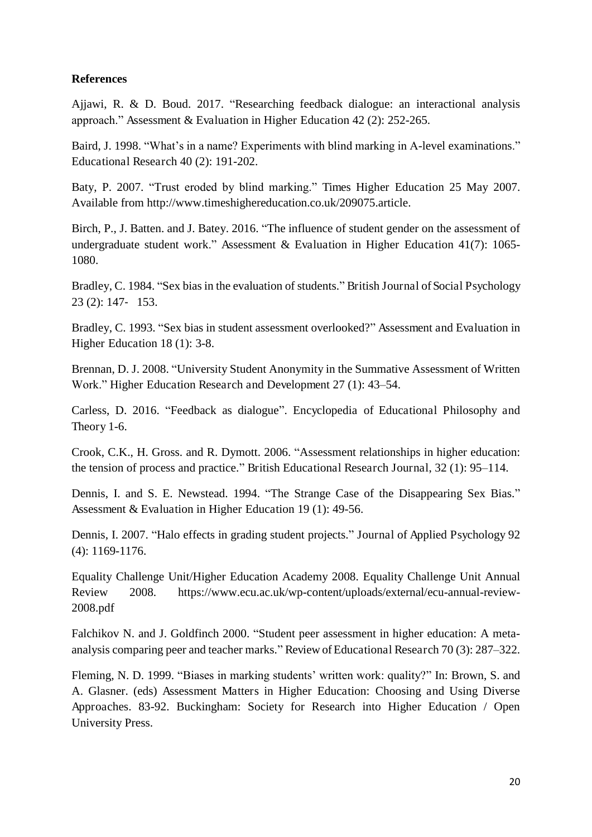#### **References**

Ajjawi, R. & D. Boud. 2017. "Researching feedback dialogue: an interactional analysis approach." Assessment & Evaluation in Higher Education 42 (2): 252-265.

Baird, J. 1998. "What's in a name? Experiments with blind marking in A-level examinations." Educational Research 40 (2): 191-202.

Baty, P. 2007. "Trust eroded by blind marking." Times Higher Education 25 May 2007. Available from http://www.timeshighereducation.co.uk/209075.article.

Birch, P., J. Batten. and J. Batey. 2016. "The influence of student gender on the assessment of undergraduate student work." Assessment & Evaluation in Higher Education 41(7): 1065- 1080.

Bradley, C. 1984. "Sex bias in the evaluation of students." British Journal of Social Psychology  $23$  (2): 147- 153.

Bradley, C. 1993. "Sex bias in student assessment overlooked?" Assessment and Evaluation in Higher Education 18 (1): 3-8.

Brennan, D. J. 2008. "University Student Anonymity in the Summative Assessment of Written Work." Higher Education Research and Development 27 (1): 43–54.

Carless, D. 2016. "Feedback as dialogue". Encyclopedia of Educational Philosophy and Theory 1-6.

Crook, C.K., H. Gross. and R. Dymott. 2006. "Assessment relationships in higher education: the tension of process and practice." British Educational Research Journal, 32 (1): 95–114.

Dennis, I. and S. E. Newstead. 1994. "The Strange Case of the Disappearing Sex Bias." Assessment & Evaluation in Higher Education 19 (1): 49-56.

Dennis, I. 2007. "Halo effects in grading student projects." Journal of Applied Psychology 92 (4): 1169-1176.

Equality Challenge Unit/Higher Education Academy 2008. Equality Challenge Unit Annual Review 2008. https://www.ecu.ac.uk/wp-content/uploads/external/ecu-annual-review-2008.pdf

Falchikov N. and J. Goldfinch 2000. "Student peer assessment in higher education: A metaanalysis comparing peer and teacher marks." Review of Educational Research 70 (3): 287–322.

Fleming, N. D. 1999. "Biases in marking students' written work: quality?" In: Brown, S. and A. Glasner. (eds) Assessment Matters in Higher Education: Choosing and Using Diverse Approaches. 83-92. Buckingham: Society for Research into Higher Education / Open University Press.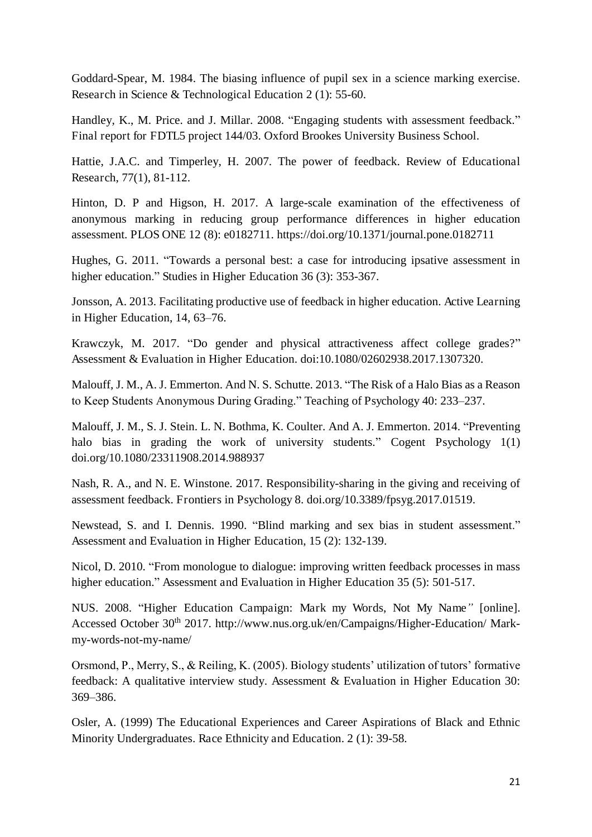Goddard-Spear, M. 1984. The biasing influence of pupil sex in a science marking exercise. Research in Science & Technological Education 2 (1): 55-60.

Handley, K., M. Price. and J. Millar. 2008. "Engaging students with assessment feedback." Final report for FDTL5 project 144/03. Oxford Brookes University Business School.

Hattie, J.A.C. and Timperley, H. 2007. The power of feedback. Review of Educational Research, 77(1), 81-112.

Hinton, D. P and Higson, H. 2017. A large-scale examination of the effectiveness of anonymous marking in reducing group performance differences in higher education assessment. PLOS ONE 12 (8): e0182711. https://doi.org/10.1371/journal.pone.0182711

Hughes, G. 2011. "Towards a personal best: a case for introducing ipsative assessment in higher education." Studies in Higher Education 36 (3): 353-367.

Jonsson, A. 2013. Facilitating productive use of feedback in higher education. Active Learning in Higher Education, 14, 63–76.

Krawczyk, M. 2017. "Do gender and physical attractiveness affect college grades?" Assessment & Evaluation in Higher Education. doi:10.1080/02602938.2017.1307320.

Malouff, J. M., A. J. Emmerton. And N. S. Schutte. 2013. "The Risk of a Halo Bias as a Reason to Keep Students Anonymous During Grading." Teaching of Psychology 40: 233–237.

Malouff, J. M., S. J. Stein. L. N. Bothma, K. Coulter. And A. J. Emmerton. 2014. "Preventing halo bias in grading the work of university students." Cogent Psychology 1(1) doi.org/10.1080/23311908.2014.988937

Nash, R. A., and N. E. Winstone. 2017. Responsibility-sharing in the giving and receiving of assessment feedback. Frontiers in Psychology 8. doi.org/10.3389/fpsyg.2017.01519.

Newstead, S. and I. Dennis. 1990. "Blind marking and sex bias in student assessment." Assessment and Evaluation in Higher Education, 15 (2): 132-139.

Nicol, D. 2010. "From monologue to dialogue: improving written feedback processes in mass higher education." Assessment and Evaluation in Higher Education 35 (5): 501-517.

NUS. 2008. "Higher Education Campaign: Mark my Words, Not My Name*"* [online]. Accessed October 30<sup>th</sup> 2017. http://www.nus.org.uk/en/Campaigns/Higher-Education/ Markmy-words-not-my-name/

Orsmond, P., Merry, S., & Reiling, K. (2005). Biology students' utilization of tutors' formative feedback: A qualitative interview study. Assessment & Evaluation in Higher Education 30: 369–386.

Osler, A. (1999) The Educational Experiences and Career Aspirations of Black and Ethnic Minority Undergraduates. Race Ethnicity and Education. 2 (1): 39-58.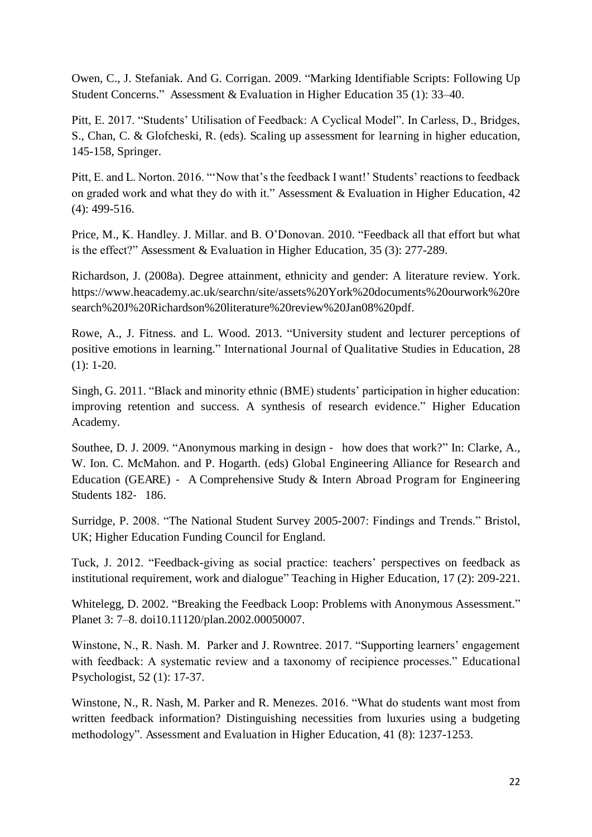Owen, C., J. Stefaniak. And G. Corrigan. 2009. "Marking Identifiable Scripts: Following Up Student Concerns." Assessment & Evaluation in Higher Education 35 (1): 33–40.

Pitt, E. 2017. "Students' Utilisation of Feedback: A Cyclical Model". In Carless, D., Bridges, S., Chan, C. & Glofcheski, R. (eds). Scaling up assessment for learning in higher education, 145-158, Springer.

Pitt, E. and L. Norton. 2016. "'Now that's the feedback I want!' Students' reactions to feedback on graded work and what they do with it." Assessment & Evaluation in Higher Education, 42 (4): 499-516.

Price, M., K. Handley. J. Millar. and B. O'Donovan. 2010. "Feedback all that effort but what is the effect?" Assessment & Evaluation in Higher Education, 35 (3): 277-289.

Richardson, J. (2008a). Degree attainment, ethnicity and gender: A literature review. York. https://www.heacademy.ac.uk/searchn/site/assets%20York%20documents%20ourwork%20re search%20J%20Richardson%20literature%20review%20Jan08%20pdf.

Rowe, A., J. Fitness. and L. Wood. 2013. "University student and lecturer perceptions of positive emotions in learning." International Journal of Qualitative Studies in Education, 28 (1): 1-20.

Singh, G. 2011. "Black and minority ethnic (BME) students' participation in higher education: improving retention and success. A synthesis of research evidence." Higher Education Academy.

Southee, D. J. 2009. "Anonymous marking in design - how does that work?" In: Clarke, A., W. Ion. C. McMahon. and P. Hogarth. (eds) Global Engineering Alliance for Research and Education (GEARE) - A Comprehensive Study  $&$  Intern Abroad Program for Engineering Students 182- 186.

Surridge, P. 2008. "The National Student Survey 2005-2007: Findings and Trends." Bristol, UK; Higher Education Funding Council for England.

Tuck, J. 2012. "Feedback-giving as social practice: teachers' perspectives on feedback as institutional requirement, work and dialogue" Teaching in Higher Education, 17 (2): 209-221.

Whitelegg, D. 2002. "Breaking the Feedback Loop: Problems with Anonymous Assessment." Planet 3: 7–8. doi10.11120/plan.2002.00050007.

Winstone, N., R. Nash. M. Parker and J. Rowntree. 2017. "Supporting learners' engagement with feedback: A systematic review and a taxonomy of recipience processes." Educational Psychologist, 52 (1): 17-37.

Winstone, N., R. Nash, M. Parker and R. Menezes. 2016. "What do students want most from written feedback information? Distinguishing necessities from luxuries using a budgeting methodology". Assessment and Evaluation in Higher Education, 41 (8): 1237-1253.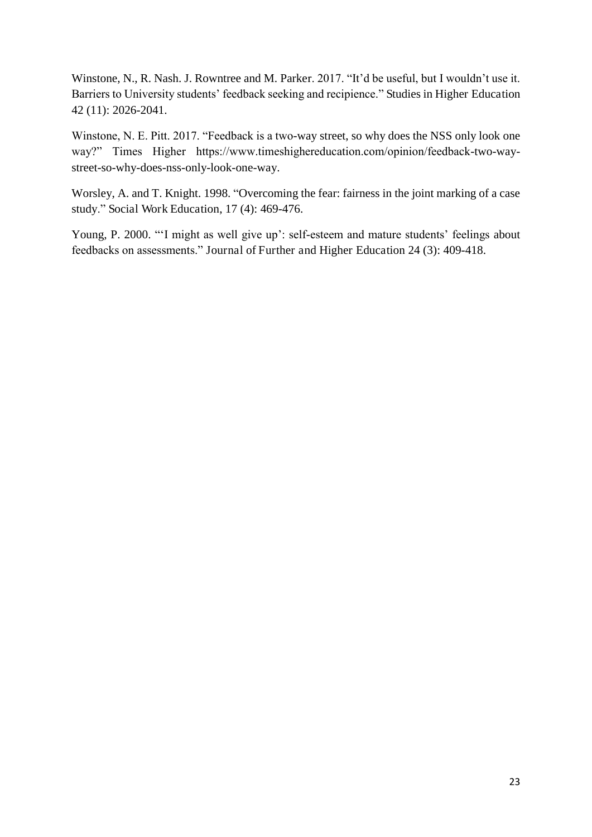Winstone, N., R. Nash. J. Rowntree and M. Parker. 2017. "It'd be useful, but I wouldn't use it. Barriers to University students' feedback seeking and recipience." Studies in Higher Education 42 (11): 2026-2041.

Winstone, N. E. Pitt. 2017. "Feedback is a two-way street, so why does the NSS only look one way?" Times Higher https://www.timeshighereducation.com/opinion/feedback-two-waystreet-so-why-does-nss-only-look-one-way.

Worsley, A. and T. Knight. 1998. "Overcoming the fear: fairness in the joint marking of a case study." Social Work Education, 17 (4): 469-476.

Young, P. 2000. "'I might as well give up': self-esteem and mature students' feelings about feedbacks on assessments." Journal of Further and Higher Education 24 (3): 409-418.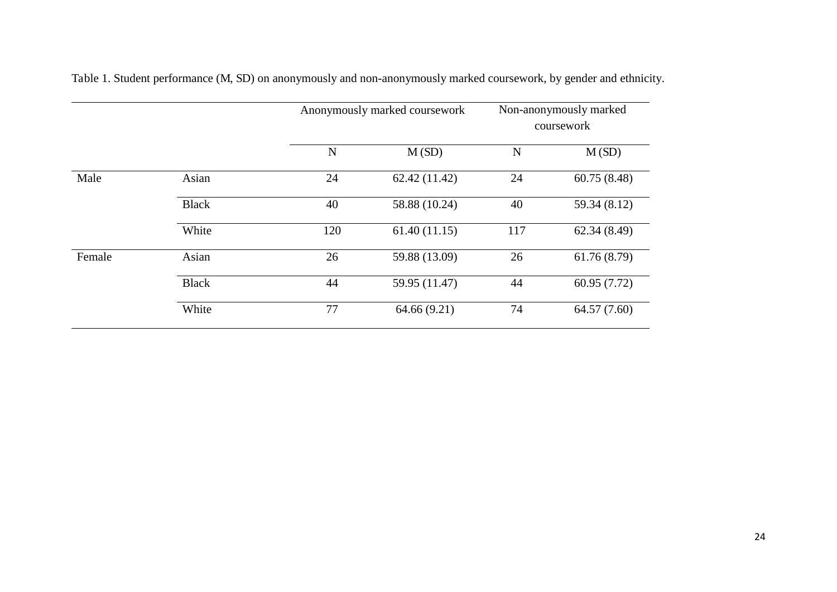|        |              |             | Anonymously marked coursework |             | Non-anonymously marked<br>coursework |
|--------|--------------|-------------|-------------------------------|-------------|--------------------------------------|
|        |              | $\mathbf N$ | M(SD)                         | $\mathbf N$ | M(SD)                                |
| Male   | Asian        | 24          | 62.42(11.42)                  | 24          | 60.75(8.48)                          |
|        | <b>Black</b> | 40          | 58.88 (10.24)                 | 40          | 59.34 (8.12)                         |
|        | White        | 120         | 61.40(11.15)                  | 117         | 62.34(8.49)                          |
| Female | Asian        | 26          | 59.88 (13.09)                 | 26          | 61.76(8.79)                          |
|        | <b>Black</b> | 44          | 59.95 (11.47)                 | 44          | 60.95(7.72)                          |
|        | White        | 77          | 64.66 (9.21)                  | 74          | 64.57 (7.60)                         |

Table 1. Student performance (M, SD) on anonymously and non-anonymously marked coursework, by gender and ethnicity.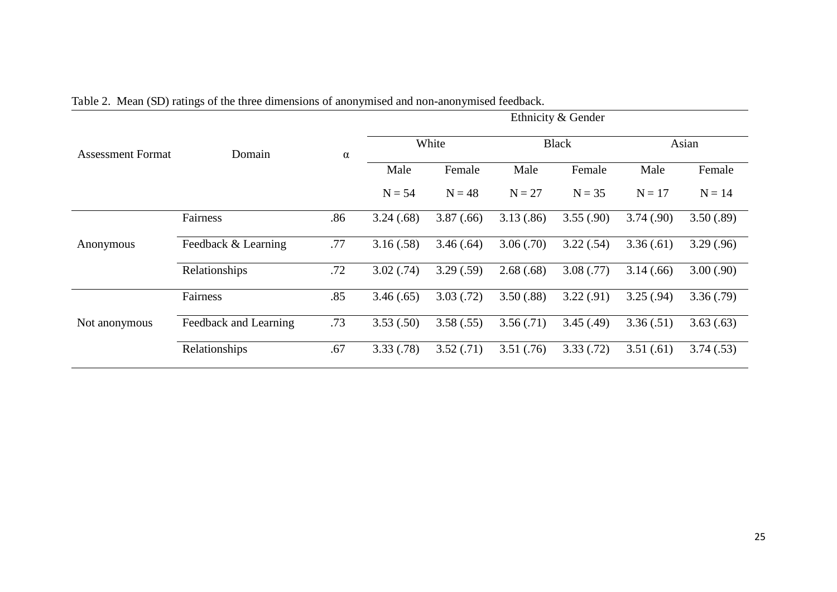|                          |                       | $\alpha$ | Ethnicity & Gender |           |              |           |           |           |  |
|--------------------------|-----------------------|----------|--------------------|-----------|--------------|-----------|-----------|-----------|--|
| <b>Assessment Format</b> | Domain                |          | White              |           | <b>Black</b> |           | Asian     |           |  |
|                          |                       |          | Male               | Female    | Male         | Female    | Male      | Female    |  |
|                          |                       |          | $N = 54$           | $N = 48$  | $N = 27$     | $N = 35$  | $N = 17$  | $N = 14$  |  |
|                          | Fairness              | .86      | 3.24(.68)          | 3.87(.66) | 3.13(.86)    | 3.55(.90) | 3.74(.90) | 3.50(.89) |  |
| Anonymous                | Feedback & Learning   | .77      | 3.16(.58)          | 3.46(.64) | 3.06(.70)    | 3.22(.54) | 3.36(.61) | 3.29(.96) |  |
|                          | Relationships         | .72      | 3.02(.74)          | 3.29(.59) | 2.68(.68)    | 3.08(.77) | 3.14(.66) | 3.00(.90) |  |
|                          | Fairness              | .85      | 3.46(.65)          | 3.03(.72) | 3.50(.88)    | 3.22(.91) | 3.25(.94) | 3.36(.79) |  |
| Not anonymous            | Feedback and Learning | .73      | 3.53(.50)          | 3.58(.55) | 3.56(.71)    | 3.45(.49) | 3.36(.51) | 3.63(.63) |  |
|                          | Relationships         | .67      | 3.33(.78)          | 3.52(.71) | 3.51(.76)    | 3.33(.72) | 3.51(.61) | 3.74(.53) |  |

Table 2. Mean (SD) ratings of the three dimensions of anonymised and non-anonymised feedback.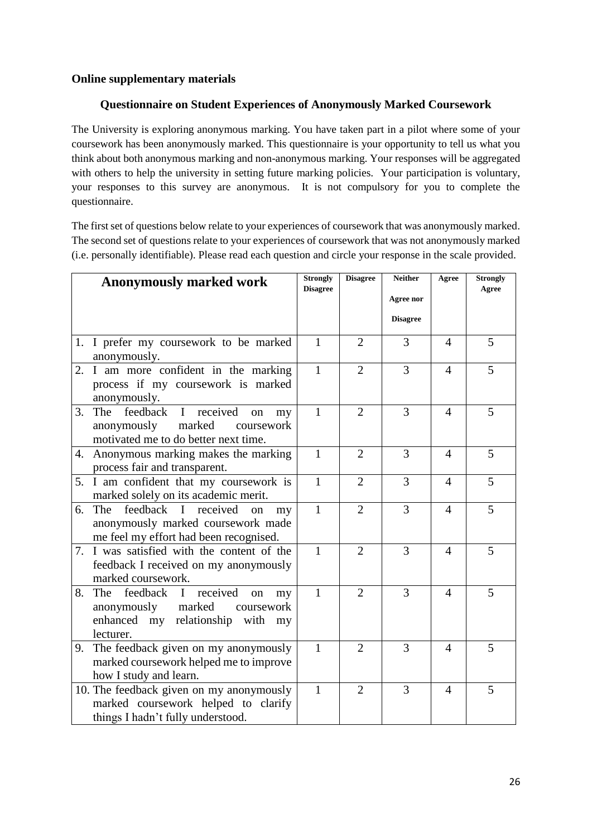#### **Online supplementary materials**

#### **Questionnaire on Student Experiences of Anonymously Marked Coursework**

The University is exploring anonymous marking. You have taken part in a pilot where some of your coursework has been anonymously marked. This questionnaire is your opportunity to tell us what you think about both anonymous marking and non-anonymous marking. Your responses will be aggregated with others to help the university in setting future marking policies. Your participation is voluntary, your responses to this survey are anonymous. It is not compulsory for you to complete the questionnaire.

The first set of questions below relate to your experiences of coursework that was anonymously marked. The second set of questions relate to your experiences of coursework that was not anonymously marked (i.e. personally identifiable). Please read each question and circle your response in the scale provided.

| <b>Anonymously marked work</b>                                                                                                                     | <b>Strongly</b><br><b>Disagree</b> | <b>Disagree</b> | <b>Neither</b>               | Agree                  | <b>Strongly</b><br>Agree |
|----------------------------------------------------------------------------------------------------------------------------------------------------|------------------------------------|-----------------|------------------------------|------------------------|--------------------------|
|                                                                                                                                                    |                                    |                 | Agree nor<br><b>Disagree</b> |                        |                          |
| 1. I prefer my coursework to be marked<br>anonymously.                                                                                             | $\mathbf{1}$                       | $\overline{2}$  | 3                            | 4                      | 5                        |
| 2. I am more confident in the marking<br>process if my coursework is marked<br>anonymously.                                                        | $\mathbf{1}$                       | $\overline{2}$  | 3                            | $\overline{4}$         | 5                        |
| I received<br>feedback<br>3.<br>The<br>on<br>my<br>marked<br>anonymously<br>coursework<br>motivated me to do better next time.                     | $\mathbf{1}$                       | $\overline{2}$  | 3                            | $\overline{4}$         | 5                        |
| 4. Anonymous marking makes the marking<br>process fair and transparent.                                                                            | $\mathbf{1}$                       | $\overline{2}$  | 3                            | $\overline{4}$         | 5                        |
| 5. I am confident that my coursework is<br>marked solely on its academic merit.                                                                    | $\mathbf{1}$                       | $\overline{2}$  | 3                            | $\overline{4}$         | 5                        |
| feedback I received<br>6. The<br>on<br>my<br>anonymously marked coursework made<br>me feel my effort had been recognised.                          | $\mathbf{1}$                       | $\overline{2}$  | 3                            | $\overline{4}$         | 5                        |
| 7. I was satisfied with the content of the<br>feedback I received on my anonymously<br>marked coursework.                                          | $\mathbf{1}$                       | $\overline{2}$  | 3                            | $\overline{4}$         | 5                        |
| 8.<br>The<br>feedback I received<br><sub>on</sub><br>my<br>marked<br>anonymously<br>coursework<br>enhanced my relationship with<br>my<br>lecturer. | $\mathbf{1}$                       | $\overline{2}$  | 3                            | $\boldsymbol{\Lambda}$ | 5                        |
| 9. The feedback given on my anonymously<br>marked coursework helped me to improve<br>how I study and learn.                                        | $\mathbf{1}$                       | $\overline{2}$  | 3                            | 4                      | 5                        |
| 10. The feedback given on my anonymously<br>marked coursework helped to clarify<br>things I hadn't fully understood.                               | 1                                  | $\overline{2}$  | 3                            | 4                      | 5                        |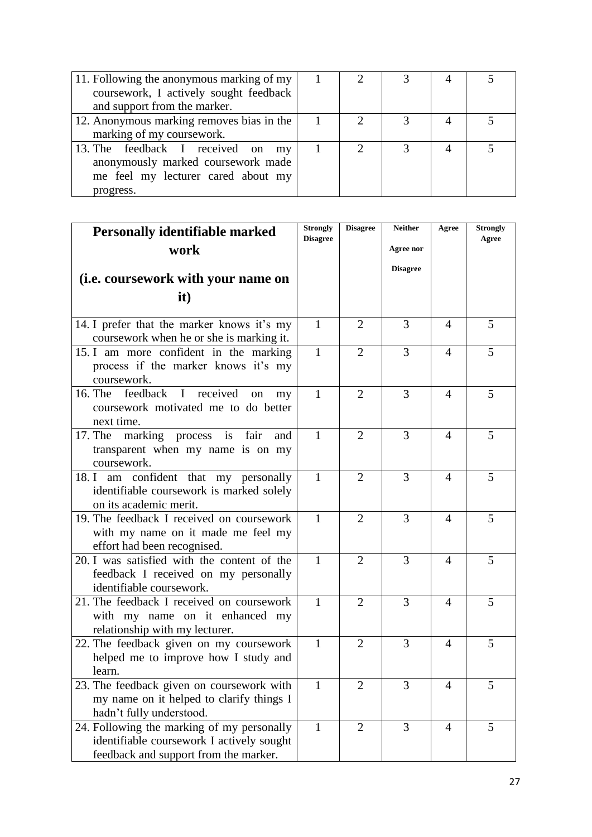| 11. Following the anonymous marking of my |  |  |  |
|-------------------------------------------|--|--|--|
| coursework, I actively sought feedback    |  |  |  |
| and support from the marker.              |  |  |  |
| 12. Anonymous marking removes bias in the |  |  |  |
| marking of my coursework.                 |  |  |  |
| 13. The feedback I received on my         |  |  |  |
| anonymously marked coursework made        |  |  |  |
| me feel my lecturer cared about my        |  |  |  |
| progress.                                 |  |  |  |

| <b>Personally identifiable marked</b>                                                                                            |                 | <b>Disagree</b> | <b>Neither</b>  | Agree          | <b>Strongly</b><br>Agree |
|----------------------------------------------------------------------------------------------------------------------------------|-----------------|-----------------|-----------------|----------------|--------------------------|
| work                                                                                                                             | <b>Disagree</b> |                 | Agree nor       |                |                          |
|                                                                                                                                  |                 |                 | <b>Disagree</b> |                |                          |
| (i.e. coursework with your name on                                                                                               |                 |                 |                 |                |                          |
| it)                                                                                                                              |                 |                 |                 |                |                          |
| 14. I prefer that the marker knows it's my<br>coursework when he or she is marking it.                                           | $\mathbf{1}$    | 2               | 3               | 4              | 5                        |
| 15. I am more confident in the marking<br>process if the marker knows it's my<br>coursework.                                     | $\mathbf{1}$    | $\overline{2}$  | 3               | $\overline{4}$ | 5                        |
| 16. The feedback I received<br>on<br>my<br>coursework motivated me to do better<br>next time.                                    | $\mathbf{1}$    | 2               | 3               | 4              | 5                        |
| 17. The marking process is fair and<br>transparent when my name is on my<br>coursework.                                          | $\mathbf{1}$    | $\overline{2}$  | 3               | 4              | 5                        |
| 18. I am confident that my personally<br>identifiable coursework is marked solely<br>on its academic merit.                      | $\mathbf{1}$    | $\overline{2}$  | 3               | 4              | 5                        |
| 19. The feedback I received on coursework<br>with my name on it made me feel my<br>effort had been recognised.                   | $\mathbf{1}$    | $\overline{2}$  | 3               | 4              | 5                        |
| 20. I was satisfied with the content of the<br>feedback I received on my personally<br>identifiable coursework.                  | $\mathbf{1}$    | $\overline{2}$  | 3               | 4              | 5                        |
| 21. The feedback I received on coursework<br>with my name on it enhanced my<br>relationship with my lecturer.                    | $\mathbf{1}$    | $\overline{2}$  | 3               | $\overline{4}$ | 5                        |
| 22. The feedback given on my coursework<br>helped me to improve how I study and<br>learn.                                        | $\mathbf{1}$    | $\overline{2}$  | 3               | $\overline{4}$ | 5                        |
| 23. The feedback given on coursework with<br>my name on it helped to clarify things I<br>hadn't fully understood.                | $\mathbf{1}$    | $\overline{2}$  | 3               | $\overline{4}$ | 5                        |
| 24. Following the marking of my personally<br>identifiable coursework I actively sought<br>feedback and support from the marker. | $\mathbf{1}$    | $\overline{2}$  | 3               | 4              | 5                        |